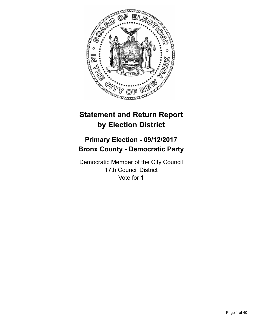

# **Statement and Return Report by Election District**

# **Primary Election - 09/12/2017 Bronx County - Democratic Party**

Democratic Member of the City Council 17th Council District Vote for 1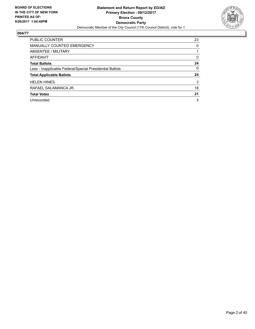

| <b>PUBLIC COUNTER</b>                                    | 23 |
|----------------------------------------------------------|----|
| <b>MANUALLY COUNTED EMERGENCY</b>                        | 0  |
| ABSENTEE / MILITARY                                      |    |
| AFFIDAVIT                                                | 0  |
| <b>Total Ballots</b>                                     | 24 |
| Less - Inapplicable Federal/Special Presidential Ballots | 0  |
| <b>Total Applicable Ballots</b>                          | 24 |
| <b>HELEN HINES</b>                                       | 3  |
| RAFAEL SALAMANCA JR.                                     | 18 |
| <b>Total Votes</b>                                       | 21 |
| Unrecorded                                               | 3  |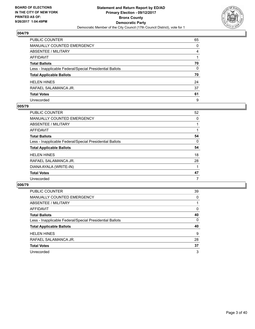

| PUBLIC COUNTER                                           | 65           |
|----------------------------------------------------------|--------------|
| <b>MANUALLY COUNTED EMERGENCY</b>                        | $\Omega$     |
| ABSENTEE / MILITARY                                      | 4            |
| <b>AFFIDAVIT</b>                                         |              |
| <b>Total Ballots</b>                                     | 70           |
| Less - Inapplicable Federal/Special Presidential Ballots | $\mathbf{0}$ |
| <b>Total Applicable Ballots</b>                          | 70           |
| <b>HELEN HINES</b>                                       | 24           |
| RAFAEL SALAMANCA JR.                                     | 37           |
| <b>Total Votes</b>                                       | 61           |
| Unrecorded                                               | 9            |

## **005/79**

| <b>PUBLIC COUNTER</b>                                    | 52 |
|----------------------------------------------------------|----|
| <b>MANUALLY COUNTED EMERGENCY</b>                        | 0  |
| ABSENTEE / MILITARY                                      |    |
| AFFIDAVIT                                                |    |
| <b>Total Ballots</b>                                     | 54 |
| Less - Inapplicable Federal/Special Presidential Ballots | 0  |
| <b>Total Applicable Ballots</b>                          | 54 |
| <b>HELEN HINES</b>                                       | 18 |
| RAFAEL SALAMANCA JR.                                     | 28 |
| DIANA AYALA (WRITE-IN)                                   |    |
| <b>Total Votes</b>                                       | 47 |
| Unrecorded                                               | 7  |

| PUBLIC COUNTER                                           | 39 |
|----------------------------------------------------------|----|
| <b>MANUALLY COUNTED EMERGENCY</b>                        | 0  |
| ABSENTEE / MILITARY                                      |    |
| AFFIDAVIT                                                | 0  |
| <b>Total Ballots</b>                                     | 40 |
| Less - Inapplicable Federal/Special Presidential Ballots | 0  |
| <b>Total Applicable Ballots</b>                          | 40 |
| <b>HELEN HINES</b>                                       | 9  |
| RAFAEL SALAMANCA JR.                                     | 28 |
| <b>Total Votes</b>                                       | 37 |
| Unrecorded                                               | 3  |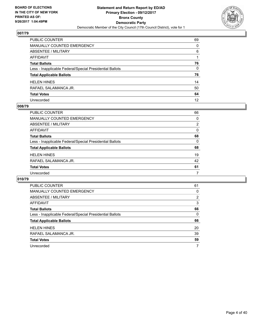

| PUBLIC COUNTER                                           | 69           |
|----------------------------------------------------------|--------------|
| <b>MANUALLY COUNTED EMERGENCY</b>                        | $\Omega$     |
| <b>ABSENTEE / MILITARY</b>                               | 6            |
| AFFIDAVIT                                                |              |
| <b>Total Ballots</b>                                     | 76           |
| Less - Inapplicable Federal/Special Presidential Ballots | $\mathbf{0}$ |
| <b>Total Applicable Ballots</b>                          | 76           |
| <b>HELEN HINES</b>                                       | 14           |
| RAFAEL SALAMANCA JR.                                     | 50           |
| <b>Total Votes</b>                                       | 64           |
| Unrecorded                                               | 12           |

## **008/79**

| <b>PUBLIC COUNTER</b>                                    | 66             |
|----------------------------------------------------------|----------------|
| MANUALLY COUNTED EMERGENCY                               | 0              |
| ABSENTEE / MILITARY                                      | $\overline{2}$ |
| AFFIDAVIT                                                | $\Omega$       |
| <b>Total Ballots</b>                                     | 68             |
| Less - Inapplicable Federal/Special Presidential Ballots | $\Omega$       |
| <b>Total Applicable Ballots</b>                          | 68             |
| <b>HELEN HINES</b>                                       | 19             |
| RAFAEL SALAMANCA JR.                                     | 42             |
| <b>Total Votes</b>                                       | 61             |
| Unrecorded                                               | 7              |

| <b>PUBLIC COUNTER</b>                                    | 61 |
|----------------------------------------------------------|----|
| MANUALLY COUNTED EMERGENCY                               | 0  |
| ABSENTEE / MILITARY                                      | 2  |
| AFFIDAVIT                                                | 3  |
| <b>Total Ballots</b>                                     | 66 |
| Less - Inapplicable Federal/Special Presidential Ballots | 0  |
| <b>Total Applicable Ballots</b>                          | 66 |
| <b>HELEN HINES</b>                                       | 20 |
| RAFAEL SALAMANCA JR.                                     | 39 |
| <b>Total Votes</b>                                       | 59 |
| Unrecorded                                               | 7  |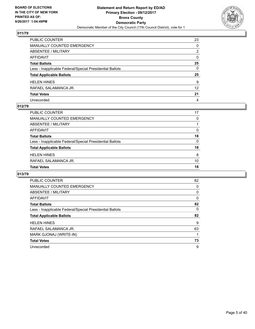

| PUBLIC COUNTER                                           | 23              |
|----------------------------------------------------------|-----------------|
| <b>MANUALLY COUNTED EMERGENCY</b>                        | 0               |
| <b>ABSENTEE / MILITARY</b>                               | 2               |
| AFFIDAVIT                                                | $\mathbf{0}$    |
| <b>Total Ballots</b>                                     | 25              |
| Less - Inapplicable Federal/Special Presidential Ballots | $\mathbf{0}$    |
| <b>Total Applicable Ballots</b>                          | 25              |
| <b>HELEN HINES</b>                                       | 9               |
| RAFAEL SALAMANCA JR.                                     | 12 <sup>°</sup> |
| <b>Total Votes</b>                                       | 21              |
| Unrecorded                                               | 4               |

## **012/79**

| PUBLIC COUNTER                                           | 17 |
|----------------------------------------------------------|----|
| MANUALLY COUNTED EMERGENCY                               | 0  |
| ABSENTEE / MILITARY                                      |    |
| AFFIDAVIT                                                | 0  |
| <b>Total Ballots</b>                                     | 18 |
| Less - Inapplicable Federal/Special Presidential Ballots | 0  |
| <b>Total Applicable Ballots</b>                          | 18 |
| <b>HELEN HINES</b>                                       | 8  |
| RAFAEL SALAMANCA JR.                                     | 10 |
| <b>Total Votes</b>                                       | 18 |

| <b>PUBLIC COUNTER</b>                                    | 82 |
|----------------------------------------------------------|----|
| <b>MANUALLY COUNTED EMERGENCY</b>                        | 0  |
| ABSENTEE / MILITARY                                      | 0  |
| AFFIDAVIT                                                | 0  |
| <b>Total Ballots</b>                                     | 82 |
| Less - Inapplicable Federal/Special Presidential Ballots | 0  |
| <b>Total Applicable Ballots</b>                          | 82 |
| <b>HELEN HINES</b>                                       | 9  |
|                                                          |    |
| RAFAEL SALAMANCA JR.                                     | 63 |
| <b>MARK GJONAJ (WRITE-IN)</b>                            |    |
| <b>Total Votes</b>                                       | 73 |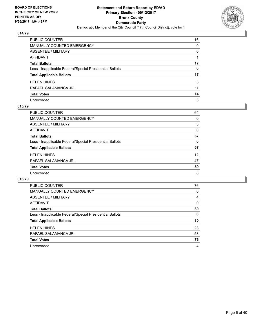

| PUBLIC COUNTER                                           | 16           |
|----------------------------------------------------------|--------------|
| MANUALLY COUNTED EMERGENCY                               | $\mathbf{0}$ |
| ABSENTEE / MILITARY                                      | $\mathbf{0}$ |
| AFFIDAVIT                                                |              |
| Total Ballots                                            | 17           |
| Less - Inapplicable Federal/Special Presidential Ballots | $\mathbf{0}$ |
| <b>Total Applicable Ballots</b>                          | 17           |
| <b>HELEN HINES</b>                                       | 3            |
| RAFAEL SALAMANCA JR.                                     | 11           |
| <b>Total Votes</b>                                       | 14           |
| Unrecorded                                               | 3            |

## **015/79**

| <b>PUBLIC COUNTER</b>                                    | 64 |
|----------------------------------------------------------|----|
| MANUALLY COUNTED EMERGENCY                               | 0  |
| ABSENTEE / MILITARY                                      | 3  |
| AFFIDAVIT                                                | 0  |
| <b>Total Ballots</b>                                     | 67 |
| Less - Inapplicable Federal/Special Presidential Ballots | 0  |
| <b>Total Applicable Ballots</b>                          | 67 |
| <b>HELEN HINES</b>                                       | 12 |
| RAFAEL SALAMANCA JR.                                     | 47 |
| <b>Total Votes</b>                                       | 59 |
| Unrecorded                                               | 8  |

| <b>PUBLIC COUNTER</b>                                    | 76 |
|----------------------------------------------------------|----|
| <b>MANUALLY COUNTED EMERGENCY</b>                        | 0  |
| ABSENTEE / MILITARY                                      | 4  |
| <b>AFFIDAVIT</b>                                         | 0  |
| <b>Total Ballots</b>                                     | 80 |
| Less - Inapplicable Federal/Special Presidential Ballots | 0  |
| <b>Total Applicable Ballots</b>                          | 80 |
| <b>HELEN HINES</b>                                       | 23 |
| RAFAEL SALAMANCA JR.                                     | 53 |
| <b>Total Votes</b>                                       | 76 |
| Unrecorded                                               | 4  |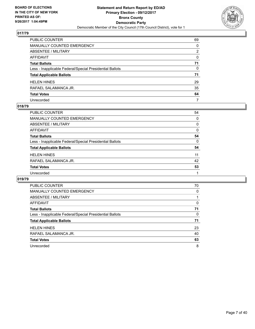

| PUBLIC COUNTER                                           | 69           |
|----------------------------------------------------------|--------------|
| MANUALLY COUNTED EMERGENCY                               | $\Omega$     |
| <b>ABSENTEE / MILITARY</b>                               | 2            |
| <b>AFFIDAVIT</b>                                         | $\mathbf{0}$ |
| <b>Total Ballots</b>                                     | 71           |
| Less - Inapplicable Federal/Special Presidential Ballots | 0            |
| <b>Total Applicable Ballots</b>                          | 71           |
| <b>HELEN HINES</b>                                       | 29           |
| RAFAEL SALAMANCA JR.                                     | 35           |
| <b>Total Votes</b>                                       | 64           |
| Unrecorded                                               | 7            |

## **018/79**

| <b>PUBLIC COUNTER</b>                                    | 54 |
|----------------------------------------------------------|----|
| <b>MANUALLY COUNTED EMERGENCY</b>                        | 0  |
| ABSENTEE / MILITARY                                      | 0  |
| AFFIDAVIT                                                | 0  |
| <b>Total Ballots</b>                                     | 54 |
| Less - Inapplicable Federal/Special Presidential Ballots | 0  |
| <b>Total Applicable Ballots</b>                          | 54 |
| <b>HELEN HINES</b>                                       | 11 |
| RAFAEL SALAMANCA JR.                                     | 42 |
| <b>Total Votes</b>                                       | 53 |
| Unrecorded                                               |    |
|                                                          |    |

| <b>PUBLIC COUNTER</b>                                    | 70 |
|----------------------------------------------------------|----|
| <b>MANUALLY COUNTED EMERGENCY</b>                        | 0  |
| ABSENTEE / MILITARY                                      |    |
| <b>AFFIDAVIT</b>                                         | 0  |
| <b>Total Ballots</b>                                     | 71 |
| Less - Inapplicable Federal/Special Presidential Ballots | 0  |
| <b>Total Applicable Ballots</b>                          | 71 |
| <b>HELEN HINES</b>                                       | 23 |
| RAFAEL SALAMANCA JR.                                     | 40 |
| <b>Total Votes</b>                                       | 63 |
| Unrecorded                                               | 8  |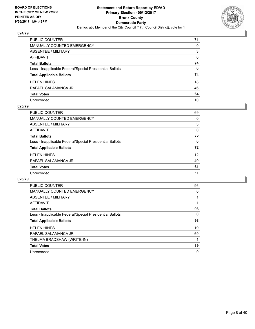

| PUBLIC COUNTER                                           | 71       |
|----------------------------------------------------------|----------|
| <b>MANUALLY COUNTED EMERGENCY</b>                        | 0        |
| ABSENTEE / MILITARY                                      | 3        |
| AFFIDAVIT                                                | $\Omega$ |
| <b>Total Ballots</b>                                     | 74       |
| Less - Inapplicable Federal/Special Presidential Ballots | 0        |
| <b>Total Applicable Ballots</b>                          | 74       |
| <b>HELEN HINES</b>                                       | 18       |
| RAFAEL SALAMANCA JR.                                     | 46       |
| <b>Total Votes</b>                                       | 64       |
| Unrecorded                                               | 10       |

## **025/79**

| PUBLIC COUNTER                                           | 69 |
|----------------------------------------------------------|----|
| MANUALLY COUNTED EMERGENCY                               | 0  |
| ABSENTEE / MILITARY                                      | 3  |
| AFFIDAVIT                                                | 0  |
| <b>Total Ballots</b>                                     | 72 |
| Less - Inapplicable Federal/Special Presidential Ballots | 0  |
| <b>Total Applicable Ballots</b>                          | 72 |
| <b>HELEN HINES</b>                                       | 12 |
| RAFAEL SALAMANCA JR.                                     | 49 |
| <b>Total Votes</b>                                       | 61 |
| Unrecorded                                               | 11 |

| <b>PUBLIC COUNTER</b>                                    | 96 |
|----------------------------------------------------------|----|
| <b>MANUALLY COUNTED EMERGENCY</b>                        | 0  |
| ABSENTEE / MILITARY                                      |    |
| AFFIDAVIT                                                |    |
| <b>Total Ballots</b>                                     | 98 |
| Less - Inapplicable Federal/Special Presidential Ballots | 0  |
| <b>Total Applicable Ballots</b>                          | 98 |
| <b>HELEN HINES</b>                                       | 19 |
| RAFAEL SALAMANCA JR.                                     | 69 |
| THELMA BRADSHAW (WRITE-IN)                               |    |
| <b>Total Votes</b>                                       | 89 |
| Unrecorded                                               | 9  |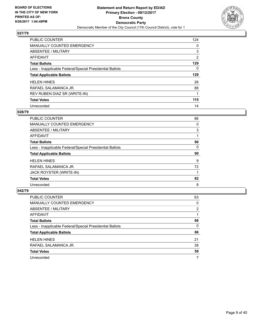

| PUBLIC COUNTER                                           | 124            |
|----------------------------------------------------------|----------------|
| <b>MANUALLY COUNTED EMERGENCY</b>                        | 0              |
| ABSENTEE / MILITARY                                      | 3              |
| AFFIDAVIT                                                | $\overline{2}$ |
| <b>Total Ballots</b>                                     | 129            |
| Less - Inapplicable Federal/Special Presidential Ballots | 0              |
| <b>Total Applicable Ballots</b>                          | 129            |
| <b>HELEN HINES</b>                                       | 26             |
| RAFAEL SALAMANCA JR.                                     | 88             |
| REV RUBEN DIAZ SR (WRITE-IN)                             |                |
| <b>Total Votes</b>                                       | 115            |
| Unrecorded                                               | 14             |

## **028/79**

| <b>PUBLIC COUNTER</b>                                    | 86 |
|----------------------------------------------------------|----|
| MANUALLY COUNTED EMERGENCY                               | 0  |
| ABSENTEE / MILITARY                                      | 3  |
| <b>AFFIDAVIT</b>                                         |    |
| <b>Total Ballots</b>                                     | 90 |
| Less - Inapplicable Federal/Special Presidential Ballots | 0  |
| <b>Total Applicable Ballots</b>                          | 90 |
| <b>HELEN HINES</b>                                       | 9  |
| RAFAEL SALAMANCA JR.                                     | 72 |
| JACK ROYSTER (WRITE-IN)                                  |    |
| <b>Total Votes</b>                                       | 82 |
| Unrecorded                                               | 8  |

| PUBLIC COUNTER                                           | 63 |
|----------------------------------------------------------|----|
| <b>MANUALLY COUNTED EMERGENCY</b>                        | 0  |
| ABSENTEE / MILITARY                                      | 2  |
| AFFIDAVIT                                                |    |
| <b>Total Ballots</b>                                     | 66 |
| Less - Inapplicable Federal/Special Presidential Ballots | 0  |
| <b>Total Applicable Ballots</b>                          | 66 |
| <b>HELEN HINES</b>                                       | 21 |
| RAFAEL SALAMANCA JR.                                     | 38 |
| <b>Total Votes</b>                                       | 59 |
| Unrecorded                                               |    |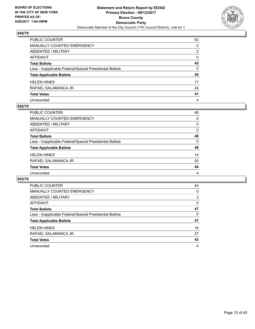

| PUBLIC COUNTER                                           | 43           |
|----------------------------------------------------------|--------------|
| MANUALLY COUNTED EMERGENCY                               | 0            |
| ABSENTEE / MILITARY                                      | 2            |
| AFFIDAVIT                                                | $\mathbf{0}$ |
| Total Ballots                                            | 45           |
| Less - Inapplicable Federal/Special Presidential Ballots | $\mathbf{0}$ |
| <b>Total Applicable Ballots</b>                          | 45           |
| <b>HELEN HINES</b>                                       | 17           |
| RAFAEL SALAMANCA JR.                                     | 24           |
| <b>Total Votes</b>                                       | 41           |
| Unrecorded                                               | 4            |

## **052/79**

| <b>PUBLIC COUNTER</b>                                    | 48 |
|----------------------------------------------------------|----|
| <b>MANUALLY COUNTED EMERGENCY</b>                        | 0  |
| ABSENTEE / MILITARY                                      | 0  |
| AFFIDAVIT                                                | 0  |
| <b>Total Ballots</b>                                     | 48 |
| Less - Inapplicable Federal/Special Presidential Ballots | 0  |
| <b>Total Applicable Ballots</b>                          | 48 |
| <b>HELEN HINES</b>                                       | 14 |
| RAFAEL SALAMANCA JR.                                     | 30 |
| <b>Total Votes</b>                                       | 44 |
| Unrecorded                                               | 4  |

| <b>PUBLIC COUNTER</b>                                    | 44 |
|----------------------------------------------------------|----|
| <b>MANUALLY COUNTED EMERGENCY</b>                        | 0  |
| <b>ABSENTEE / MILITARY</b>                               | 3  |
| AFFIDAVIT                                                | 0  |
| <b>Total Ballots</b>                                     | 47 |
| Less - Inapplicable Federal/Special Presidential Ballots | 0  |
| <b>Total Applicable Ballots</b>                          | 47 |
| <b>HELEN HINES</b>                                       | 16 |
| RAFAEL SALAMANCA JR.                                     | 27 |
| <b>Total Votes</b>                                       | 43 |
| Unrecorded                                               | 4  |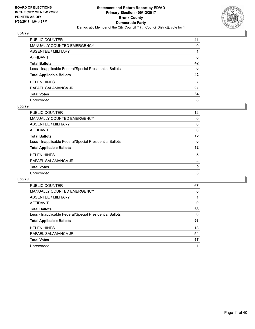

| PUBLIC COUNTER                                           | 41           |
|----------------------------------------------------------|--------------|
| <b>MANUALLY COUNTED EMERGENCY</b>                        | 0            |
| ABSENTEE / MILITARY                                      |              |
| <b>AFFIDAVIT</b>                                         | $\Omega$     |
| <b>Total Ballots</b>                                     | 42           |
| Less - Inapplicable Federal/Special Presidential Ballots | $\mathbf{0}$ |
| <b>Total Applicable Ballots</b>                          | 42           |
| <b>HELEN HINES</b>                                       | 7            |
| RAFAEL SALAMANCA JR.                                     | 27           |
| <b>Total Votes</b>                                       | 34           |
| Unrecorded                                               | 8            |

## **055/79**

| <b>PUBLIC COUNTER</b>                                    | 12 |
|----------------------------------------------------------|----|
| MANUALLY COUNTED EMERGENCY                               | 0  |
| ABSENTEE / MILITARY                                      | 0  |
| AFFIDAVIT                                                | 0  |
| <b>Total Ballots</b>                                     | 12 |
| Less - Inapplicable Federal/Special Presidential Ballots | 0  |
| <b>Total Applicable Ballots</b>                          | 12 |
| <b>HELEN HINES</b>                                       | 5  |
| RAFAEL SALAMANCA JR.                                     | 4  |
| <b>Total Votes</b>                                       | 9  |
| Unrecorded                                               | 3  |

| <b>PUBLIC COUNTER</b>                                    | 67 |
|----------------------------------------------------------|----|
| <b>MANUALLY COUNTED EMERGENCY</b>                        | 0  |
| ABSENTEE / MILITARY                                      |    |
| <b>AFFIDAVIT</b>                                         | 0  |
| <b>Total Ballots</b>                                     | 68 |
| Less - Inapplicable Federal/Special Presidential Ballots | 0  |
| <b>Total Applicable Ballots</b>                          | 68 |
| <b>HELEN HINES</b>                                       | 13 |
| RAFAEL SALAMANCA JR.                                     | 54 |
| <b>Total Votes</b>                                       | 67 |
| Unrecorded                                               | 1  |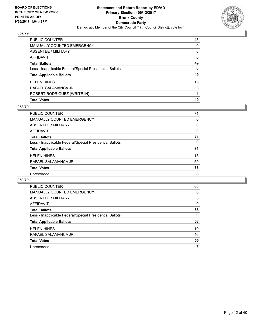

| <b>Total Votes</b>                                       | 49           |
|----------------------------------------------------------|--------------|
| ROBERT RODRIGUEZ (WRITE-IN)                              |              |
| RAFAEL SALAMANCA JR.                                     | 33           |
| <b>HELEN HINES</b>                                       | 15           |
| <b>Total Applicable Ballots</b>                          | 49           |
| Less - Inapplicable Federal/Special Presidential Ballots | $\mathbf{0}$ |
| <b>Total Ballots</b>                                     | 49           |
| AFFIDAVIT                                                | $\Omega$     |
| ABSENTEE / MILITARY                                      | 6            |
| MANUALLY COUNTED EMERGENCY                               | $\Omega$     |
| PUBLIC COUNTER                                           | 43           |

## **058/79**

| <b>PUBLIC COUNTER</b>                                    | 71 |
|----------------------------------------------------------|----|
| <b>MANUALLY COUNTED EMERGENCY</b>                        | 0  |
| <b>ABSENTEE / MILITARY</b>                               | 0  |
| <b>AFFIDAVIT</b>                                         | 0  |
| <b>Total Ballots</b>                                     | 71 |
| Less - Inapplicable Federal/Special Presidential Ballots | 0  |
| <b>Total Applicable Ballots</b>                          | 71 |
| <b>HELEN HINES</b>                                       | 13 |
| RAFAEL SALAMANCA JR.                                     | 50 |
| <b>Total Votes</b>                                       | 63 |
| Unrecorded                                               | 8  |
|                                                          |    |

| <b>PUBLIC COUNTER</b>                                    | 60 |
|----------------------------------------------------------|----|
| <b>MANUALLY COUNTED EMERGENCY</b>                        | 0  |
| ABSENTEE / MILITARY                                      | 3  |
| AFFIDAVIT                                                | 0  |
| <b>Total Ballots</b>                                     | 63 |
| Less - Inapplicable Federal/Special Presidential Ballots | 0  |
| <b>Total Applicable Ballots</b>                          | 63 |
| <b>HELEN HINES</b>                                       | 10 |
| RAFAEL SALAMANCA JR.                                     | 46 |
| <b>Total Votes</b>                                       | 56 |
| Unrecorded                                               | 7  |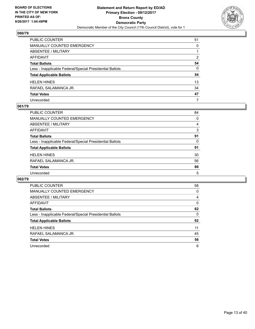

| PUBLIC COUNTER                                           | 51           |
|----------------------------------------------------------|--------------|
| <b>MANUALLY COUNTED EMERGENCY</b>                        | 0            |
| ABSENTEE / MILITARY                                      |              |
| <b>AFFIDAVIT</b>                                         | 2            |
| <b>Total Ballots</b>                                     | 54           |
| Less - Inapplicable Federal/Special Presidential Ballots | $\mathbf{0}$ |
| <b>Total Applicable Ballots</b>                          | 54           |
| <b>HELEN HINES</b>                                       | 13           |
| RAFAEL SALAMANCA JR.                                     | 34           |
| <b>Total Votes</b>                                       | 47           |
| Unrecorded                                               | 7            |

## **061/79**

| PUBLIC COUNTER                                           | 84 |
|----------------------------------------------------------|----|
| MANUALLY COUNTED EMERGENCY                               | 0  |
| ABSENTEE / MILITARY                                      | 4  |
| AFFIDAVIT                                                | 3  |
| <b>Total Ballots</b>                                     | 91 |
| Less - Inapplicable Federal/Special Presidential Ballots | 0  |
| <b>Total Applicable Ballots</b>                          | 91 |
| <b>HELEN HINES</b>                                       | 30 |
| RAFAEL SALAMANCA JR.                                     | 56 |
| <b>Total Votes</b>                                       | 86 |
| Unrecorded                                               | 5  |

| <b>PUBLIC COUNTER</b>                                    | 58 |
|----------------------------------------------------------|----|
| <b>MANUALLY COUNTED EMERGENCY</b>                        | 0  |
| <b>ABSENTEE / MILITARY</b>                               | 4  |
| <b>AFFIDAVIT</b>                                         | 0  |
| <b>Total Ballots</b>                                     | 62 |
| Less - Inapplicable Federal/Special Presidential Ballots | 0  |
| <b>Total Applicable Ballots</b>                          | 62 |
| <b>HELEN HINES</b>                                       | 11 |
| RAFAEL SALAMANCA JR.                                     | 45 |
|                                                          |    |
| <b>Total Votes</b>                                       | 56 |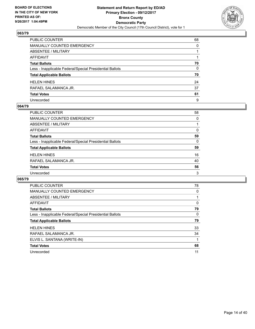

| PUBLIC COUNTER                                           | 68           |
|----------------------------------------------------------|--------------|
| MANUALLY COUNTED EMERGENCY                               | $\Omega$     |
| ABSENTEE / MILITARY                                      |              |
| AFFIDAVIT                                                |              |
| Total Ballots                                            | 70           |
| Less - Inapplicable Federal/Special Presidential Ballots | $\mathbf{0}$ |
| <b>Total Applicable Ballots</b>                          | 70           |
| <b>HELEN HINES</b>                                       | 24           |
| RAFAEL SALAMANCA JR.                                     | 37           |
| <b>Total Votes</b>                                       | 61           |
| Unrecorded                                               | 9            |

## **064/79**

| <b>PUBLIC COUNTER</b>                                    | 58 |
|----------------------------------------------------------|----|
| MANUALLY COUNTED EMERGENCY                               | 0  |
| ABSENTEE / MILITARY                                      |    |
| AFFIDAVIT                                                | 0  |
| <b>Total Ballots</b>                                     | 59 |
| Less - Inapplicable Federal/Special Presidential Ballots | 0  |
| <b>Total Applicable Ballots</b>                          | 59 |
| <b>HELEN HINES</b>                                       | 16 |
| RAFAEL SALAMANCA JR.                                     | 40 |
| <b>Total Votes</b>                                       | 56 |
| Unrecorded                                               | 3  |

| <b>PUBLIC COUNTER</b>                                    | 78 |
|----------------------------------------------------------|----|
| <b>MANUALLY COUNTED EMERGENCY</b>                        | 0  |
| ABSENTEE / MILITARY                                      |    |
| AFFIDAVIT                                                | 0  |
| <b>Total Ballots</b>                                     | 79 |
| Less - Inapplicable Federal/Special Presidential Ballots | 0  |
| <b>Total Applicable Ballots</b>                          | 79 |
| <b>HELEN HINES</b>                                       | 33 |
| RAFAEL SALAMANCA JR.                                     | 34 |
| ELVIS L. SANTANA (WRITE-IN)                              |    |
|                                                          |    |
| <b>Total Votes</b>                                       | 68 |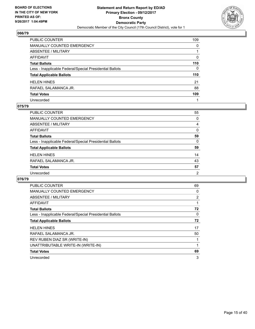

| <b>PUBLIC COUNTER</b>                                    | 109      |
|----------------------------------------------------------|----------|
| <b>MANUALLY COUNTED EMERGENCY</b>                        | 0        |
| <b>ABSENTEE / MILITARY</b>                               |          |
| <b>AFFIDAVIT</b>                                         | $\Omega$ |
| <b>Total Ballots</b>                                     | 110      |
| Less - Inapplicable Federal/Special Presidential Ballots | 0        |
| <b>Total Applicable Ballots</b>                          | 110      |
| <b>HELEN HINES</b>                                       | 21       |
| RAFAEL SALAMANCA JR.                                     | 88       |
| <b>Total Votes</b>                                       | 109      |
| Unrecorded                                               |          |

## **075/79**

| <b>PUBLIC COUNTER</b>                                    | 55             |
|----------------------------------------------------------|----------------|
| <b>MANUALLY COUNTED EMERGENCY</b>                        | 0              |
| ABSENTEE / MILITARY                                      | 4              |
| AFFIDAVIT                                                | 0              |
| <b>Total Ballots</b>                                     | 59             |
| Less - Inapplicable Federal/Special Presidential Ballots | 0              |
| <b>Total Applicable Ballots</b>                          | 59             |
| <b>HELEN HINES</b>                                       | 14             |
| RAFAEL SALAMANCA JR.                                     | 43             |
| <b>Total Votes</b>                                       | 57             |
| Unrecorded                                               | $\overline{2}$ |

| <b>PUBLIC COUNTER</b>                                    | 69 |
|----------------------------------------------------------|----|
| <b>MANUALLY COUNTED EMERGENCY</b>                        | 0  |
| ABSENTEE / MILITARY                                      | 2  |
| <b>AFFIDAVIT</b>                                         |    |
| <b>Total Ballots</b>                                     | 72 |
| Less - Inapplicable Federal/Special Presidential Ballots | 0  |
| <b>Total Applicable Ballots</b>                          | 72 |
| <b>HELEN HINES</b>                                       | 17 |
| RAFAEL SALAMANCA JR.                                     | 50 |
| REV RUBEN DIAZ SR (WRITE-IN)                             |    |
| UNATTRIBUTABLE WRITE-IN (WRITE-IN)                       | 1  |
| <b>Total Votes</b>                                       | 69 |
| Unrecorded                                               | 3  |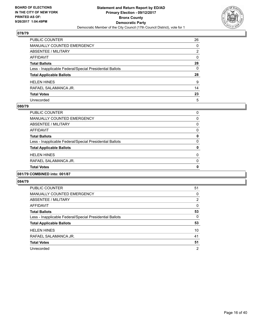

| PUBLIC COUNTER                                           | 26           |
|----------------------------------------------------------|--------------|
| MANUALLY COUNTED EMERGENCY                               | $\Omega$     |
| <b>ABSENTEE / MILITARY</b>                               | 2            |
| <b>AFFIDAVIT</b>                                         | $\mathbf{0}$ |
| <b>Total Ballots</b>                                     | 28           |
| Less - Inapplicable Federal/Special Presidential Ballots | 0            |
| <b>Total Applicable Ballots</b>                          | 28           |
| <b>HELEN HINES</b>                                       | 9            |
| RAFAEL SALAMANCA JR.                                     | 14           |
| <b>Total Votes</b>                                       | 23           |
| Unrecorded                                               | 5            |

## **080/79**

| <b>Total Votes</b>                                       | 0        |
|----------------------------------------------------------|----------|
| RAFAEL SALAMANCA JR.                                     | $\Omega$ |
| <b>HELEN HINES</b>                                       | $\Omega$ |
| <b>Total Applicable Ballots</b>                          | 0        |
| Less - Inapplicable Federal/Special Presidential Ballots | $\Omega$ |
| <b>Total Ballots</b>                                     | 0        |
| AFFIDAVIT                                                | 0        |
| ABSENTEE / MILITARY                                      | 0        |
| <b>MANUALLY COUNTED EMERGENCY</b>                        | 0        |
| PUBLIC COUNTER                                           | $\Omega$ |
|                                                          |          |

## **081/79 COMBINED into: 001/87**

| PUBLIC COUNTER                                           | 51 |
|----------------------------------------------------------|----|
| <b>MANUALLY COUNTED EMERGENCY</b>                        | 0  |
| ABSENTEE / MILITARY                                      | 2  |
| AFFIDAVIT                                                | 0  |
| <b>Total Ballots</b>                                     | 53 |
| Less - Inapplicable Federal/Special Presidential Ballots | 0  |
| <b>Total Applicable Ballots</b>                          | 53 |
| <b>HELEN HINES</b>                                       | 10 |
| RAFAEL SALAMANCA JR.                                     | 41 |
| <b>Total Votes</b>                                       | 51 |
| Unrecorded                                               | 2  |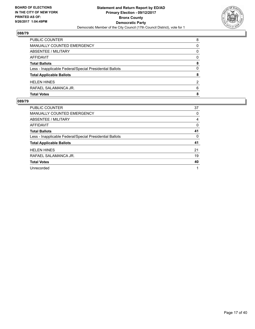

| PUBLIC COUNTER                                           | 8 |
|----------------------------------------------------------|---|
| MANUALLY COUNTED EMERGENCY                               | 0 |
| <b>ABSENTEE / MILITARY</b>                               | 0 |
| AFFIDAVIT                                                | 0 |
| <b>Total Ballots</b>                                     | 8 |
| Less - Inapplicable Federal/Special Presidential Ballots | 0 |
| <b>Total Applicable Ballots</b>                          | 8 |
| <b>HELEN HINES</b>                                       | 2 |
| RAFAEL SALAMANCA JR.                                     | 6 |
| <b>Total Votes</b>                                       | 8 |

| <b>PUBLIC COUNTER</b>                                    | 37 |
|----------------------------------------------------------|----|
| <b>MANUALLY COUNTED EMERGENCY</b>                        | 0  |
| ABSENTEE / MILITARY                                      | 4  |
| AFFIDAVIT                                                | 0  |
| <b>Total Ballots</b>                                     | 41 |
| Less - Inapplicable Federal/Special Presidential Ballots | 0  |
| <b>Total Applicable Ballots</b>                          | 41 |
| <b>HELEN HINES</b>                                       | 21 |
| RAFAEL SALAMANCA JR.                                     | 19 |
| <b>Total Votes</b>                                       | 40 |
| Unrecorded                                               | 1  |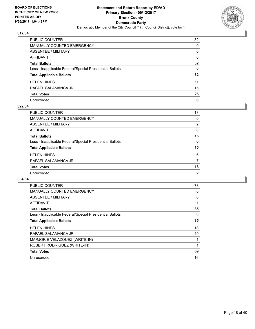

| PUBLIC COUNTER                                           | 32              |
|----------------------------------------------------------|-----------------|
| <b>MANUALLY COUNTED EMERGENCY</b>                        | $\mathbf{0}$    |
| ABSENTEE / MILITARY                                      | 0               |
| <b>AFFIDAVIT</b>                                         | $\mathbf{0}$    |
| <b>Total Ballots</b>                                     | $32\phantom{a}$ |
| Less - Inapplicable Federal/Special Presidential Ballots | $\mathbf{0}$    |
| <b>Total Applicable Ballots</b>                          | 32              |
| <b>HELEN HINES</b>                                       | 11              |
| RAFAEL SALAMANCA JR.                                     | 15              |
| <b>Total Votes</b>                                       | 26              |
| Unrecorded                                               | 6               |

## **022/84**

| <b>PUBLIC COUNTER</b>                                    | 13 |
|----------------------------------------------------------|----|
| MANUALLY COUNTED EMERGENCY                               | 0  |
| ABSENTEE / MILITARY                                      | 2  |
| AFFIDAVIT                                                | 0  |
| <b>Total Ballots</b>                                     | 15 |
| Less - Inapplicable Federal/Special Presidential Ballots | 0  |
| <b>Total Applicable Ballots</b>                          | 15 |
| <b>HELEN HINES</b>                                       | 6  |
| RAFAEL SALAMANCA JR.                                     | 7  |
| <b>Total Votes</b>                                       | 13 |
| Unrecorded                                               | 2  |

| <b>PUBLIC COUNTER</b>                                    | 78 |
|----------------------------------------------------------|----|
| <b>MANUALLY COUNTED EMERGENCY</b>                        | 0  |
| ABSENTEE / MILITARY                                      | 6  |
| AFFIDAVIT                                                | 1  |
| <b>Total Ballots</b>                                     | 85 |
| Less - Inapplicable Federal/Special Presidential Ballots | 0  |
| <b>Total Applicable Ballots</b>                          | 85 |
| <b>HELEN HINES</b>                                       | 18 |
| RAFAEL SALAMANCA JR.                                     | 49 |
| MARJORIE VELAZQUEZ (WRITE-IN)                            |    |
| ROBERT RODRIGUEZ (WRITE-IN)                              | 1  |
| <b>Total Votes</b>                                       | 69 |
| Unrecorded                                               | 16 |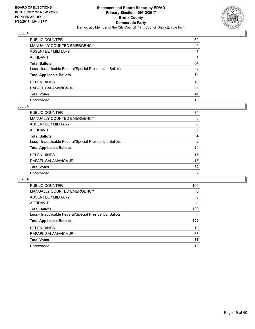

| PUBLIC COUNTER                                           | 52           |
|----------------------------------------------------------|--------------|
| <b>MANUALLY COUNTED EMERGENCY</b>                        | 0            |
| ABSENTEE / MILITARY                                      |              |
| <b>AFFIDAVIT</b>                                         |              |
| <b>Total Ballots</b>                                     | 54           |
| Less - Inapplicable Federal/Special Presidential Ballots | $\mathbf{0}$ |
| <b>Total Applicable Ballots</b>                          | 54           |
| <b>HELEN HINES</b>                                       | 10           |
| RAFAEL SALAMANCA JR.                                     | 31           |
| <b>Total Votes</b>                                       | 41           |
| Unrecorded                                               | 13           |

## **036/84**

| <b>PUBLIC COUNTER</b>                                    | 34 |
|----------------------------------------------------------|----|
| <b>MANUALLY COUNTED EMERGENCY</b>                        | 0  |
| ABSENTEE / MILITARY                                      | 0  |
| AFFIDAVIT                                                | 0  |
| <b>Total Ballots</b>                                     | 34 |
| Less - Inapplicable Federal/Special Presidential Ballots | 0  |
| <b>Total Applicable Ballots</b>                          | 34 |
| <b>HELEN HINES</b>                                       | 15 |
| RAFAEL SALAMANCA JR.                                     | 17 |
| <b>Total Votes</b>                                       | 32 |
| Unrecorded                                               | 2  |

| PUBLIC COUNTER                                           | 100 |
|----------------------------------------------------------|-----|
| <b>MANUALLY COUNTED EMERGENCY</b>                        | 0   |
| ABSENTEE / MILITARY                                      | 0   |
| <b>AFFIDAVIT</b>                                         | 0   |
| <b>Total Ballots</b>                                     | 100 |
| Less - Inapplicable Federal/Special Presidential Ballots | 0   |
| <b>Total Applicable Ballots</b>                          | 100 |
|                                                          |     |
| <b>HELEN HINES</b>                                       | 19  |
| RAFAEL SALAMANCA JR.                                     | 68  |
| <b>Total Votes</b>                                       | 87  |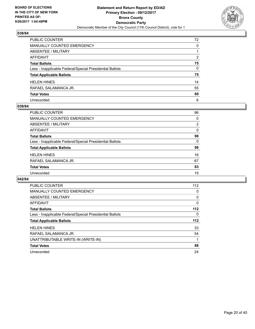

| PUBLIC COUNTER                                           | 72           |
|----------------------------------------------------------|--------------|
| <b>MANUALLY COUNTED EMERGENCY</b>                        | $\mathbf{0}$ |
| <b>ABSENTEE / MILITARY</b>                               |              |
| <b>AFFIDAVIT</b>                                         | 2            |
| <b>Total Ballots</b>                                     | 75           |
| Less - Inapplicable Federal/Special Presidential Ballots | $\mathbf{0}$ |
| <b>Total Applicable Ballots</b>                          | 75           |
| <b>HELEN HINES</b>                                       | 14           |
| RAFAEL SALAMANCA JR.                                     | 55           |
| <b>Total Votes</b>                                       | 69           |
| Unrecorded                                               | 6            |

## **039/84**

| <b>PUBLIC COUNTER</b>                                    | 96 |
|----------------------------------------------------------|----|
| <b>MANUALLY COUNTED EMERGENCY</b>                        | 0  |
| ABSENTEE / MILITARY                                      | 2  |
| AFFIDAVIT                                                | 0  |
| <b>Total Ballots</b>                                     | 98 |
| Less - Inapplicable Federal/Special Presidential Ballots | 0  |
| <b>Total Applicable Ballots</b>                          | 98 |
| <b>HELEN HINES</b>                                       | 16 |
| RAFAEL SALAMANCA JR.                                     | 67 |
| <b>Total Votes</b>                                       | 83 |
| Unrecorded                                               | 15 |

| <b>PUBLIC COUNTER</b>                                    | 112   |
|----------------------------------------------------------|-------|
| <b>MANUALLY COUNTED EMERGENCY</b>                        | 0     |
| ABSENTEE / MILITARY                                      | 0     |
| AFFIDAVIT                                                | 0     |
| <b>Total Ballots</b>                                     | 112   |
| Less - Inapplicable Federal/Special Presidential Ballots | 0     |
| <b>Total Applicable Ballots</b>                          | $112$ |
| <b>HELEN HINES</b>                                       | 33    |
| RAFAEL SALAMANCA JR.                                     | 54    |
| UNATTRIBUTABLE WRITE-IN (WRITE-IN)                       |       |
| <b>Total Votes</b>                                       | 88    |
| Unrecorded                                               | 24    |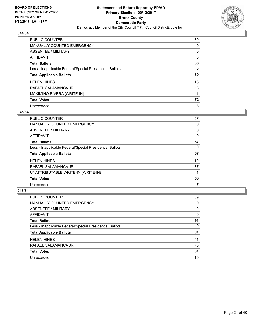

| PUBLIC COUNTER                                           | 80 |
|----------------------------------------------------------|----|
| MANUALLY COUNTED EMERGENCY                               | 0  |
| <b>ABSENTEE / MILITARY</b>                               | 0  |
| AFFIDAVIT                                                | 0  |
| <b>Total Ballots</b>                                     | 80 |
| Less - Inapplicable Federal/Special Presidential Ballots | 0  |
| <b>Total Applicable Ballots</b>                          | 80 |
| <b>HELEN HINES</b>                                       | 13 |
| RAFAEL SALAMANCA JR.                                     | 58 |
| MAXIMINO RIVERA (WRITE-IN)                               |    |
| <b>Total Votes</b>                                       | 72 |
| Unrecorded                                               | 8  |

## **045/84**

| <b>PUBLIC COUNTER</b>                                    | 57 |
|----------------------------------------------------------|----|
| <b>MANUALLY COUNTED EMERGENCY</b>                        | 0  |
| ABSENTEE / MILITARY                                      | 0  |
| <b>AFFIDAVIT</b>                                         | 0  |
| <b>Total Ballots</b>                                     | 57 |
| Less - Inapplicable Federal/Special Presidential Ballots | 0  |
| <b>Total Applicable Ballots</b>                          | 57 |
| <b>HELEN HINES</b>                                       | 12 |
| RAFAEL SALAMANCA JR.                                     | 37 |
| UNATTRIBUTABLE WRITE-IN (WRITE-IN)                       |    |
| <b>Total Votes</b>                                       | 50 |
| Unrecorded                                               |    |

| <b>PUBLIC COUNTER</b>                                    | 89             |
|----------------------------------------------------------|----------------|
| MANUALLY COUNTED EMERGENCY                               | 0              |
| ABSENTEE / MILITARY                                      | $\overline{2}$ |
| AFFIDAVIT                                                | 0              |
| <b>Total Ballots</b>                                     | 91             |
| Less - Inapplicable Federal/Special Presidential Ballots | 0              |
| <b>Total Applicable Ballots</b>                          | 91             |
| <b>HELEN HINES</b>                                       | 11             |
| RAFAEL SALAMANCA JR.                                     | 70             |
| <b>Total Votes</b>                                       | 81             |
| Unrecorded                                               | 10             |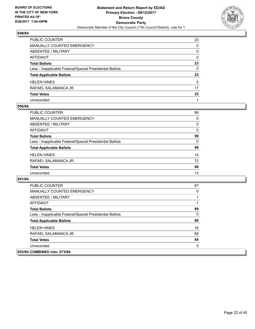

| PUBLIC COUNTER                                           | 23 |
|----------------------------------------------------------|----|
| <b>MANUALLY COUNTED EMERGENCY</b>                        | 0  |
| <b>ABSENTEE / MILITARY</b>                               | 0  |
| <b>AFFIDAVIT</b>                                         | 0  |
| <b>Total Ballots</b>                                     | 23 |
| Less - Inapplicable Federal/Special Presidential Ballots | 0  |
| <b>Total Applicable Ballots</b>                          | 23 |
| <b>HELEN HINES</b>                                       | 5  |
| RAFAEL SALAMANCA JR.                                     | 17 |
| <b>Total Votes</b>                                       | 22 |
| Unrecorded                                               |    |

## **050/84**

| <b>PUBLIC COUNTER</b>                                    | 99 |
|----------------------------------------------------------|----|
| <b>MANUALLY COUNTED EMERGENCY</b>                        | 0  |
| ABSENTEE / MILITARY                                      | 0  |
| AFFIDAVIT                                                | 0  |
| <b>Total Ballots</b>                                     | 99 |
| Less - Inapplicable Federal/Special Presidential Ballots | 0  |
| <b>Total Applicable Ballots</b>                          | 99 |
| <b>HELEN HINES</b>                                       | 14 |
| RAFAEL SALAMANCA JR.                                     | 72 |
| <b>Total Votes</b>                                       | 86 |
| Unrecorded                                               | 13 |

| <b>PUBLIC COUNTER</b>                                    | 87 |
|----------------------------------------------------------|----|
| <b>MANUALLY COUNTED EMERGENCY</b>                        | 0  |
| ABSENTEE / MILITARY                                      | 1  |
| AFFIDAVIT                                                |    |
| <b>Total Ballots</b>                                     | 89 |
| Less - Inapplicable Federal/Special Presidential Ballots | 0  |
| <b>Total Applicable Ballots</b>                          | 89 |
| <b>HELEN HINES</b>                                       | 16 |
| RAFAEL SALAMANCA JR.                                     | 68 |
| <b>Total Votes</b>                                       | 84 |
| Unrecorded                                               | 5  |
| 053/84 COMBINED into: 073/84                             |    |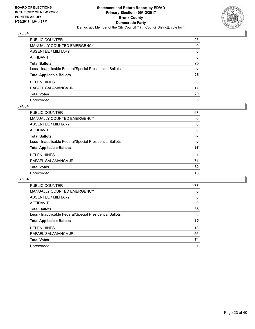

| PUBLIC COUNTER                                           | 25           |
|----------------------------------------------------------|--------------|
| MANUALLY COUNTED EMERGENCY                               | $\Omega$     |
| <b>ABSENTEE / MILITARY</b>                               | $\mathbf{0}$ |
| <b>AFFIDAVIT</b>                                         | $\mathbf{0}$ |
| <b>Total Ballots</b>                                     | 25           |
| Less - Inapplicable Federal/Special Presidential Ballots | 0            |
| <b>Total Applicable Ballots</b>                          | 25           |
| <b>HELEN HINES</b>                                       | 3            |
| RAFAEL SALAMANCA JR.                                     | 17           |
| <b>Total Votes</b>                                       | 20           |
| Unrecorded                                               | 5            |

## **074/84**

| PUBLIC COUNTER                                           | 97 |
|----------------------------------------------------------|----|
| <b>MANUALLY COUNTED EMERGENCY</b>                        | 0  |
| ABSENTEE / MILITARY                                      | 0  |
| AFFIDAVIT                                                | 0  |
| <b>Total Ballots</b>                                     | 97 |
| Less - Inapplicable Federal/Special Presidential Ballots | 0  |
| <b>Total Applicable Ballots</b>                          | 97 |
| <b>HELEN HINES</b>                                       | 11 |
| RAFAEL SALAMANCA JR.                                     | 71 |
| <b>Total Votes</b>                                       | 82 |
| Unrecorded                                               | 15 |

| <b>PUBLIC COUNTER</b>                                    | 77 |
|----------------------------------------------------------|----|
| <b>MANUALLY COUNTED EMERGENCY</b>                        | 0  |
| ABSENTEE / MILITARY                                      | 8  |
| <b>AFFIDAVIT</b>                                         | 0  |
| <b>Total Ballots</b>                                     | 85 |
| Less - Inapplicable Federal/Special Presidential Ballots | 0  |
| <b>Total Applicable Ballots</b>                          | 85 |
| <b>HELEN HINES</b>                                       | 18 |
| RAFAEL SALAMANCA JR.                                     | 56 |
| <b>Total Votes</b>                                       | 74 |
| Unrecorded                                               | 11 |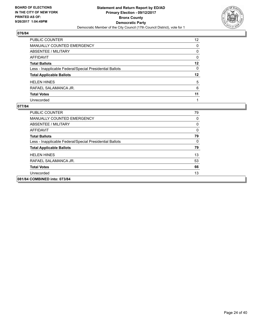

| PUBLIC COUNTER                                           | 12 <sup>2</sup> |
|----------------------------------------------------------|-----------------|
| <b>MANUALLY COUNTED EMERGENCY</b>                        | 0               |
| ABSENTEE / MILITARY                                      | 0               |
| AFFIDAVIT                                                | 0               |
| <b>Total Ballots</b>                                     | 12              |
| Less - Inapplicable Federal/Special Presidential Ballots | 0               |
| <b>Total Applicable Ballots</b>                          | 12              |
| <b>HELEN HINES</b>                                       | 5               |
| RAFAEL SALAMANCA JR.                                     | 6               |
| <b>Total Votes</b>                                       | 11              |
| Unrecorded                                               |                 |

| <b>PUBLIC COUNTER</b>                                    | 79 |
|----------------------------------------------------------|----|
| MANUALLY COUNTED EMERGENCY                               |    |
| ABSENTEE / MILITARY                                      |    |
| AFFIDAVIT                                                |    |
| <b>Total Ballots</b>                                     | 79 |
| Less - Inapplicable Federal/Special Presidential Ballots | 0  |
| <b>Total Applicable Ballots</b>                          | 79 |
| <b>HELEN HINES</b>                                       | 13 |
| RAFAEL SALAMANCA JR.                                     | 53 |
| <b>Total Votes</b>                                       | 66 |
| Unrecorded                                               | 13 |
| 081/84 COMBINED into: 073/84                             |    |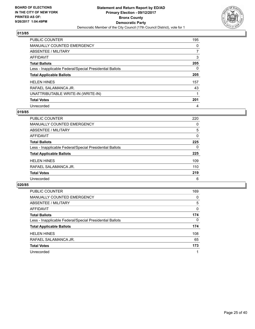

| PUBLIC COUNTER                                           | 195 |
|----------------------------------------------------------|-----|
| <b>MANUALLY COUNTED EMERGENCY</b>                        | 0   |
| ABSENTEE / MILITARY                                      | 7   |
| AFFIDAVIT                                                | 3   |
| <b>Total Ballots</b>                                     | 205 |
| Less - Inapplicable Federal/Special Presidential Ballots | 0   |
| <b>Total Applicable Ballots</b>                          | 205 |
| <b>HELEN HINES</b>                                       | 157 |
| RAFAEL SALAMANCA JR.                                     | 43  |
| UNATTRIBUTABLE WRITE-IN (WRITE-IN)                       |     |
| <b>Total Votes</b>                                       | 201 |
| Unrecorded                                               | 4   |

## **019/85**

| <b>PUBLIC COUNTER</b>                                    | 220 |
|----------------------------------------------------------|-----|
| MANUALLY COUNTED EMERGENCY                               | 0   |
| ABSENTEE / MILITARY                                      | 5   |
| AFFIDAVIT                                                | 0   |
| <b>Total Ballots</b>                                     | 225 |
| Less - Inapplicable Federal/Special Presidential Ballots | 0   |
| <b>Total Applicable Ballots</b>                          | 225 |
| <b>HELEN HINES</b>                                       | 109 |
| RAFAEL SALAMANCA JR.                                     | 110 |
| <b>Total Votes</b>                                       | 219 |
| Unrecorded                                               | 6   |

| PUBLIC COUNTER                                           | 169 |
|----------------------------------------------------------|-----|
| MANUALLY COUNTED EMERGENCY                               | 0   |
| ABSENTEE / MILITARY                                      | 5   |
| AFFIDAVIT                                                | 0   |
| <b>Total Ballots</b>                                     | 174 |
| Less - Inapplicable Federal/Special Presidential Ballots | 0   |
| <b>Total Applicable Ballots</b>                          | 174 |
| <b>HELEN HINES</b>                                       | 108 |
| RAFAEL SALAMANCA JR.                                     | 65  |
| <b>Total Votes</b>                                       | 173 |
| Unrecorded                                               |     |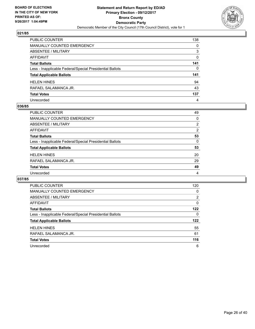

| PUBLIC COUNTER                                           | 138      |
|----------------------------------------------------------|----------|
| <b>MANUALLY COUNTED EMERGENCY</b>                        | $\Omega$ |
| <b>ABSENTEE / MILITARY</b>                               | 3        |
| <b>AFFIDAVIT</b>                                         | $\Omega$ |
| <b>Total Ballots</b>                                     | 141      |
| Less - Inapplicable Federal/Special Presidential Ballots | 0        |
| <b>Total Applicable Ballots</b>                          | 141      |
| <b>HELEN HINES</b>                                       | 94       |
| RAFAEL SALAMANCA JR.                                     | 43       |
| <b>Total Votes</b>                                       | 137      |
| Unrecorded                                               | 4        |

## **036/85**

| PUBLIC COUNTER                                           | 49 |
|----------------------------------------------------------|----|
| <b>MANUALLY COUNTED EMERGENCY</b>                        | 0  |
| ABSENTEE / MILITARY                                      | 2  |
| AFFIDAVIT                                                | 2  |
| <b>Total Ballots</b>                                     | 53 |
| Less - Inapplicable Federal/Special Presidential Ballots | 0  |
| <b>Total Applicable Ballots</b>                          | 53 |
| <b>HELEN HINES</b>                                       | 20 |
| RAFAEL SALAMANCA JR.                                     | 29 |
| <b>Total Votes</b>                                       | 49 |
| Unrecorded                                               | 4  |

| <b>PUBLIC COUNTER</b>                                    | 120 |
|----------------------------------------------------------|-----|
| MANUALLY COUNTED EMERGENCY                               | 0   |
| ABSENTEE / MILITARY                                      | 2   |
| AFFIDAVIT                                                | 0   |
| <b>Total Ballots</b>                                     | 122 |
| Less - Inapplicable Federal/Special Presidential Ballots | 0   |
| <b>Total Applicable Ballots</b>                          | 122 |
| <b>HELEN HINES</b>                                       | 55  |
| RAFAEL SALAMANCA JR.                                     | 61  |
| <b>Total Votes</b>                                       | 116 |
| Unrecorded                                               | 6   |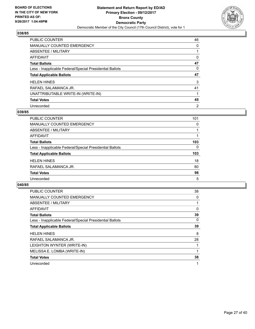

| PUBLIC COUNTER                                           | 46             |
|----------------------------------------------------------|----------------|
| <b>MANUALLY COUNTED EMERGENCY</b>                        | 0              |
| ABSENTEE / MILITARY                                      |                |
| AFFIDAVIT                                                | 0              |
| <b>Total Ballots</b>                                     | 47             |
| Less - Inapplicable Federal/Special Presidential Ballots | 0              |
| <b>Total Applicable Ballots</b>                          | 47             |
| <b>HELEN HINES</b>                                       | 3              |
| RAFAEL SALAMANCA JR.                                     | 41             |
| UNATTRIBUTABLE WRITE-IN (WRITE-IN)                       |                |
| <b>Total Votes</b>                                       | 45             |
| Unrecorded                                               | $\overline{2}$ |

## **039/85**

| <b>PUBLIC COUNTER</b>                                    | 101      |
|----------------------------------------------------------|----------|
| <b>MANUALLY COUNTED EMERGENCY</b>                        | 0        |
| ABSENTEE / MILITARY                                      |          |
| AFFIDAVIT                                                |          |
| <b>Total Ballots</b>                                     | 103      |
| Less - Inapplicable Federal/Special Presidential Ballots | $\Omega$ |
| <b>Total Applicable Ballots</b>                          | 103      |
| <b>HELEN HINES</b>                                       | 18       |
| RAFAEL SALAMANCA JR.                                     | 80       |
| <b>Total Votes</b>                                       | 98       |
| Unrecorded                                               | 5        |

| <b>PUBLIC COUNTER</b>                                    | 38 |
|----------------------------------------------------------|----|
| MANUALLY COUNTED EMERGENCY                               | 0  |
| ABSENTEE / MILITARY                                      |    |
| <b>AFFIDAVIT</b>                                         | 0  |
| <b>Total Ballots</b>                                     | 39 |
| Less - Inapplicable Federal/Special Presidential Ballots | 0  |
| <b>Total Applicable Ballots</b>                          | 39 |
| <b>HELEN HINES</b>                                       | 8  |
| RAFAEL SALAMANCA JR.                                     | 28 |
| LEIGHTON WYNTER (WRITE-IN)                               |    |
| MELISSA E. LOMBA (WRITE-IN)                              | 1  |
| <b>Total Votes</b>                                       | 38 |
| Unrecorded                                               | 1  |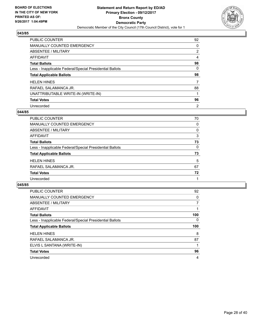

| PUBLIC COUNTER                                           | 92             |
|----------------------------------------------------------|----------------|
| MANUALLY COUNTED EMERGENCY                               | 0              |
| ABSENTEE / MILITARY                                      | $\overline{2}$ |
| AFFIDAVIT                                                | 4              |
| <b>Total Ballots</b>                                     | 98             |
| Less - Inapplicable Federal/Special Presidential Ballots | 0              |
| <b>Total Applicable Ballots</b>                          | 98             |
| <b>HELEN HINES</b>                                       | 7              |
| RAFAEL SALAMANCA JR.                                     | 88             |
| UNATTRIBUTABLE WRITE-IN (WRITE-IN)                       |                |
| <b>Total Votes</b>                                       | 96             |
| Unrecorded                                               | $\overline{2}$ |

## **044/85**

| <b>PUBLIC COUNTER</b>                                    | 70       |
|----------------------------------------------------------|----------|
| MANUALLY COUNTED EMERGENCY                               | 0        |
| ABSENTEE / MILITARY                                      | 0        |
| AFFIDAVIT                                                | 3        |
| <b>Total Ballots</b>                                     | 73       |
| Less - Inapplicable Federal/Special Presidential Ballots | $\Omega$ |
| <b>Total Applicable Ballots</b>                          | 73       |
| <b>HELEN HINES</b>                                       | 5        |
| RAFAEL SALAMANCA JR.                                     | 67       |
| <b>Total Votes</b>                                       | 72       |
| Unrecorded                                               |          |

| <b>PUBLIC COUNTER</b>                                    | 92       |
|----------------------------------------------------------|----------|
| MANUALLY COUNTED EMERGENCY                               | 0        |
| ABSENTEE / MILITARY                                      | 7        |
| AFFIDAVIT                                                |          |
| <b>Total Ballots</b>                                     | 100      |
| Less - Inapplicable Federal/Special Presidential Ballots | $\Omega$ |
| <b>Total Applicable Ballots</b>                          | 100      |
| <b>HELEN HINES</b>                                       | 8        |
| RAFAEL SALAMANCA JR.                                     | 87       |
| ELVIS L SANTANA (WRITE-IN)                               |          |
| <b>Total Votes</b>                                       | 96       |
| Unrecorded                                               | 4        |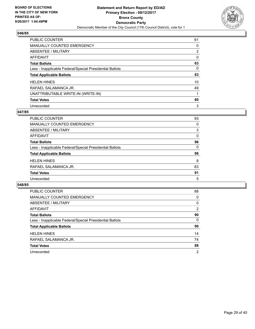

| PUBLIC COUNTER                                           | 61             |
|----------------------------------------------------------|----------------|
| <b>MANUALLY COUNTED EMERGENCY</b>                        | 0              |
| ABSENTEE / MILITARY                                      | $\overline{2}$ |
| AFFIDAVIT                                                | 0              |
| <b>Total Ballots</b>                                     | 63             |
| Less - Inapplicable Federal/Special Presidential Ballots | 0              |
| <b>Total Applicable Ballots</b>                          | 63             |
| <b>HELEN HINES</b>                                       | 10             |
| RAFAEL SALAMANCA JR.                                     | 49             |
| UNATTRIBUTABLE WRITE-IN (WRITE-IN)                       |                |
| <b>Total Votes</b>                                       | 60             |
| Unrecorded                                               | 3              |

## **047/85**

| <b>PUBLIC COUNTER</b>                                    | 93 |
|----------------------------------------------------------|----|
| MANUALLY COUNTED EMERGENCY                               | 0  |
| ABSENTEE / MILITARY                                      | 3  |
| AFFIDAVIT                                                | 0  |
| <b>Total Ballots</b>                                     | 96 |
| Less - Inapplicable Federal/Special Presidential Ballots | 0  |
| <b>Total Applicable Ballots</b>                          | 96 |
| <b>HELEN HINES</b>                                       | 8  |
| RAFAEL SALAMANCA JR.                                     | 83 |
| <b>Total Votes</b>                                       | 91 |
| Unrecorded                                               | 5  |

| PUBLIC COUNTER                                           | 88             |
|----------------------------------------------------------|----------------|
| <b>MANUALLY COUNTED EMERGENCY</b>                        | 0              |
| ABSENTEE / MILITARY                                      | 0              |
| AFFIDAVIT                                                | 2              |
| <b>Total Ballots</b>                                     | 90             |
| Less - Inapplicable Federal/Special Presidential Ballots | 0              |
| <b>Total Applicable Ballots</b>                          | 90             |
| <b>HELEN HINES</b>                                       | 14             |
| RAFAEL SALAMANCA JR.                                     | 74             |
| <b>Total Votes</b>                                       | 88             |
| Unrecorded                                               | $\overline{2}$ |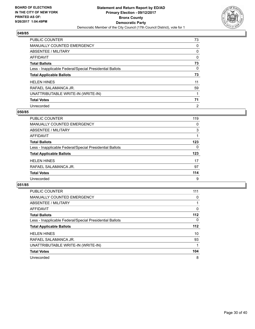

| <b>PUBLIC COUNTER</b>                                    | 73             |
|----------------------------------------------------------|----------------|
| <b>MANUALLY COUNTED EMERGENCY</b>                        | 0              |
| ABSENTEE / MILITARY                                      | 0              |
| AFFIDAVIT                                                | 0              |
| <b>Total Ballots</b>                                     | 73             |
| Less - Inapplicable Federal/Special Presidential Ballots | 0              |
| <b>Total Applicable Ballots</b>                          | 73             |
| <b>HELEN HINES</b>                                       | 11             |
| RAFAEL SALAMANCA JR.                                     | 59             |
| UNATTRIBUTABLE WRITE-IN (WRITE-IN)                       |                |
| <b>Total Votes</b>                                       | 71             |
| Unrecorded                                               | $\overline{2}$ |

## **050/85**

| <b>PUBLIC COUNTER</b>                                    | 119 |
|----------------------------------------------------------|-----|
| <b>MANUALLY COUNTED EMERGENCY</b>                        | 0   |
| ABSENTEE / MILITARY                                      | 3   |
| AFFIDAVIT                                                |     |
| <b>Total Ballots</b>                                     | 123 |
| Less - Inapplicable Federal/Special Presidential Ballots | 0   |
| <b>Total Applicable Ballots</b>                          | 123 |
| <b>HELEN HINES</b>                                       | 17  |
| RAFAEL SALAMANCA JR.                                     | 97  |
| <b>Total Votes</b>                                       | 114 |
| Unrecorded                                               | 9   |

| <b>PUBLIC COUNTER</b>                                    | 111 |
|----------------------------------------------------------|-----|
| <b>MANUALLY COUNTED EMERGENCY</b>                        | 0   |
| ABSENTEE / MILITARY                                      |     |
| AFFIDAVIT                                                | 0   |
| <b>Total Ballots</b>                                     | 112 |
| Less - Inapplicable Federal/Special Presidential Ballots | 0   |
| <b>Total Applicable Ballots</b>                          | 112 |
| <b>HELEN HINES</b>                                       | 10  |
| RAFAEL SALAMANCA JR.                                     | 93  |
| UNATTRIBUTABLE WRITE-IN (WRITE-IN)                       |     |
| <b>Total Votes</b>                                       | 104 |
| Unrecorded                                               | 8   |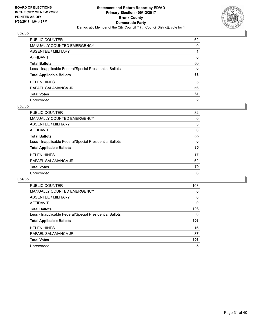

| PUBLIC COUNTER                                           | 62             |
|----------------------------------------------------------|----------------|
| MANUALLY COUNTED EMERGENCY                               | $\Omega$       |
| <b>ABSENTEE / MILITARY</b>                               |                |
| <b>AFFIDAVIT</b>                                         | $\Omega$       |
| <b>Total Ballots</b>                                     | 63             |
| Less - Inapplicable Federal/Special Presidential Ballots | 0              |
| <b>Total Applicable Ballots</b>                          | 63             |
| <b>HELEN HINES</b>                                       | 5              |
| RAFAEL SALAMANCA JR.                                     | 56             |
| <b>Total Votes</b>                                       | 61             |
| Unrecorded                                               | $\overline{2}$ |

## **053/85**

| <b>PUBLIC COUNTER</b>                                    | 82 |
|----------------------------------------------------------|----|
| <b>MANUALLY COUNTED EMERGENCY</b>                        | 0  |
| ABSENTEE / MILITARY                                      | 3  |
| AFFIDAVIT                                                | 0  |
| <b>Total Ballots</b>                                     | 85 |
| Less - Inapplicable Federal/Special Presidential Ballots | 0  |
| <b>Total Applicable Ballots</b>                          | 85 |
| <b>HELEN HINES</b>                                       | 17 |
| RAFAEL SALAMANCA JR.                                     | 62 |
| <b>Total Votes</b>                                       | 79 |
| Unrecorded                                               | 6  |

| <b>PUBLIC COUNTER</b>                                    | 108 |
|----------------------------------------------------------|-----|
| <b>MANUALLY COUNTED EMERGENCY</b>                        | 0   |
| ABSENTEE / MILITARY                                      | 0   |
| <b>AFFIDAVIT</b>                                         | 0   |
| <b>Total Ballots</b>                                     | 108 |
| Less - Inapplicable Federal/Special Presidential Ballots | 0   |
| <b>Total Applicable Ballots</b>                          | 108 |
| <b>HELEN HINES</b>                                       | 16  |
| RAFAEL SALAMANCA JR.                                     | 87  |
| <b>Total Votes</b>                                       | 103 |
|                                                          |     |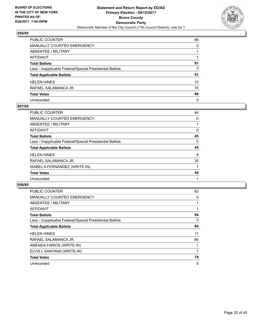

| PUBLIC COUNTER                                           | 89 |
|----------------------------------------------------------|----|
| <b>MANUALLY COUNTED EMERGENCY</b>                        | 0  |
| <b>ABSENTEE / MILITARY</b>                               |    |
| <b>AFFIDAVIT</b>                                         |    |
| <b>Total Ballots</b>                                     | 91 |
| Less - Inapplicable Federal/Special Presidential Ballots | 0  |
| <b>Total Applicable Ballots</b>                          | 91 |
| <b>HELEN HINES</b>                                       | 10 |
| RAFAEL SALAMANCA JR.                                     | 76 |
| <b>Total Votes</b>                                       | 86 |
| Unrecorded                                               | 5  |

## **057/85**

| <b>PUBLIC COUNTER</b>                                    | 44 |
|----------------------------------------------------------|----|
| <b>MANUALLY COUNTED EMERGENCY</b>                        | 0  |
| ABSENTEE / MILITARY                                      |    |
| AFFIDAVIT                                                | 0  |
| <b>Total Ballots</b>                                     | 45 |
| Less - Inapplicable Federal/Special Presidential Ballots | 0  |
| <b>Total Applicable Ballots</b>                          | 45 |
| <b>HELEN HINES</b>                                       | 8  |
| RAFAEL SALAMANCA JR.                                     | 35 |
| ISABEL A FERNANDEZ (WRITE-IN)                            |    |
|                                                          |    |
| <b>Total Votes</b>                                       | 44 |

| <b>PUBLIC COUNTER</b>                                    | 82 |
|----------------------------------------------------------|----|
| <b>MANUALLY COUNTED EMERGENCY</b>                        | 0  |
| ABSENTEE / MILITARY                                      |    |
| AFFIDAVIT                                                |    |
| <b>Total Ballots</b>                                     | 84 |
| Less - Inapplicable Federal/Special Presidential Ballots | 0  |
| <b>Total Applicable Ballots</b>                          | 84 |
| <b>HELEN HINES</b>                                       | 11 |
| RAFAEL SALAMANCA JR.                                     | 66 |
| AMENDA FARIOS (WRITE-IN)                                 |    |
| ELVIS L SANTANA (WRITE-IN)                               | 1  |
| <b>Total Votes</b>                                       | 79 |
| Unrecorded                                               | 5  |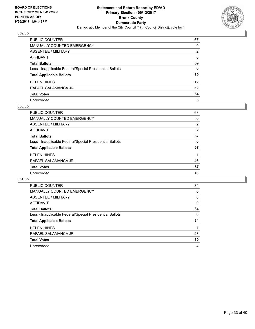

| PUBLIC COUNTER                                           | 67              |
|----------------------------------------------------------|-----------------|
| <b>MANUALLY COUNTED EMERGENCY</b>                        | 0               |
| <b>ABSENTEE / MILITARY</b>                               | 2               |
| <b>AFFIDAVIT</b>                                         | $\Omega$        |
| <b>Total Ballots</b>                                     | 69              |
| Less - Inapplicable Federal/Special Presidential Ballots | 0               |
| <b>Total Applicable Ballots</b>                          | 69              |
| <b>HELEN HINES</b>                                       | 12 <sup>2</sup> |
| RAFAEL SALAMANCA JR.                                     | 52              |
| <b>Total Votes</b>                                       | 64              |
| Unrecorded                                               | 5               |

## **060/85**

| <b>PUBLIC COUNTER</b>                                    | 63 |
|----------------------------------------------------------|----|
| <b>MANUALLY COUNTED EMERGENCY</b>                        | 0  |
| ABSENTEE / MILITARY                                      | 2  |
| AFFIDAVIT                                                | 2  |
| <b>Total Ballots</b>                                     | 67 |
| Less - Inapplicable Federal/Special Presidential Ballots | 0  |
| <b>Total Applicable Ballots</b>                          | 67 |
| <b>HELEN HINES</b>                                       | 11 |
| RAFAEL SALAMANCA JR.                                     | 46 |
| <b>Total Votes</b>                                       | 57 |
| Unrecorded                                               | 10 |

| <b>PUBLIC COUNTER</b>                                    | 34       |
|----------------------------------------------------------|----------|
| <b>MANUALLY COUNTED EMERGENCY</b>                        | $\Omega$ |
| ABSENTEE / MILITARY                                      | 0        |
| <b>AFFIDAVIT</b>                                         | 0        |
| <b>Total Ballots</b>                                     | 34       |
| Less - Inapplicable Federal/Special Presidential Ballots | 0        |
| <b>Total Applicable Ballots</b>                          | 34       |
| <b>HELEN HINES</b>                                       | 7        |
| RAFAEL SALAMANCA JR.                                     | 23       |
| <b>Total Votes</b>                                       | 30       |
| Unrecorded                                               | 4        |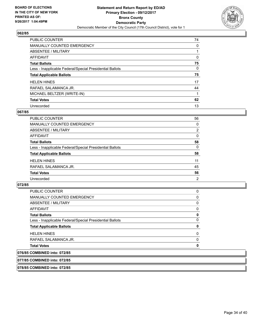

| PUBLIC COUNTER                                           | 74 |
|----------------------------------------------------------|----|
| <b>MANUALLY COUNTED EMERGENCY</b>                        | 0  |
| ABSENTEE / MILITARY                                      |    |
| AFFIDAVIT                                                | 0  |
| <b>Total Ballots</b>                                     | 75 |
| Less - Inapplicable Federal/Special Presidential Ballots | 0  |
| <b>Total Applicable Ballots</b>                          | 75 |
| <b>HELEN HINES</b>                                       | 17 |
| RAFAEL SALAMANCA JR.                                     | 44 |
| MICHAEL BELTZER (WRITE-IN)                               |    |
| <b>Total Votes</b>                                       | 62 |
|                                                          |    |

## **067/85**

| <b>PUBLIC COUNTER</b>                                    | 56       |
|----------------------------------------------------------|----------|
| MANUALLY COUNTED EMERGENCY                               | 0        |
| ABSENTEE / MILITARY                                      | 2        |
| AFFIDAVIT                                                | $\Omega$ |
| <b>Total Ballots</b>                                     | 58       |
| Less - Inapplicable Federal/Special Presidential Ballots | 0        |
| <b>Total Applicable Ballots</b>                          | 58       |
| <b>HELEN HINES</b>                                       | 11       |
| RAFAEL SALAMANCA JR.                                     | 45       |
| <b>Total Votes</b>                                       | 56       |
| Unrecorded                                               | 2        |

## **072/85**

| 076/85 COMBINED into: 072/85                             |   |
|----------------------------------------------------------|---|
| <b>Total Votes</b>                                       | 0 |
| RAFAEL SALAMANCA JR.                                     | 0 |
| <b>HELEN HINES</b>                                       | 0 |
| <b>Total Applicable Ballots</b>                          | 0 |
| Less - Inapplicable Federal/Special Presidential Ballots | 0 |
| <b>Total Ballots</b>                                     | 0 |
| AFFIDAVIT                                                | 0 |
| ABSENTEE / MILITARY                                      | 0 |
| <b>MANUALLY COUNTED EMERGENCY</b>                        | 0 |
| <b>PUBLIC COUNTER</b>                                    | 0 |

# **077/85 COMBINED into: 072/85**

**078/85 COMBINED into: 072/85**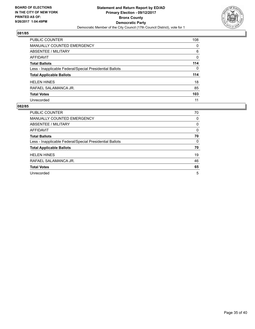

| PUBLIC COUNTER                                           | 108          |
|----------------------------------------------------------|--------------|
| <b>MANUALLY COUNTED EMERGENCY</b>                        | 0            |
| ABSENTEE / MILITARY                                      | 6            |
| <b>AFFIDAVIT</b>                                         | 0            |
| <b>Total Ballots</b>                                     | 114          |
| Less - Inapplicable Federal/Special Presidential Ballots | $\mathbf{0}$ |
| <b>Total Applicable Ballots</b>                          | 114          |
| <b>HELEN HINES</b>                                       | 18           |
| RAFAEL SALAMANCA JR.                                     | 85           |
| <b>Total Votes</b>                                       | 103          |
| Unrecorded                                               | 11           |

| <b>PUBLIC COUNTER</b>                                    | 70 |
|----------------------------------------------------------|----|
| MANUALLY COUNTED EMERGENCY                               | 0  |
| ABSENTEE / MILITARY                                      | 0  |
| AFFIDAVIT                                                | 0  |
| <b>Total Ballots</b>                                     | 70 |
| Less - Inapplicable Federal/Special Presidential Ballots | 0  |
| <b>Total Applicable Ballots</b>                          | 70 |
| <b>HELEN HINES</b>                                       | 19 |
| RAFAEL SALAMANCA JR.                                     | 46 |
| <b>Total Votes</b>                                       | 65 |
| Unrecorded                                               | 5  |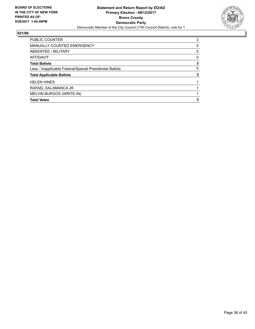

| PUBLIC COUNTER                                           | 3 |
|----------------------------------------------------------|---|
| <b>MANUALLY COUNTED EMERGENCY</b>                        | 0 |
| ABSENTEE / MILITARY                                      | 0 |
| AFFIDAVIT                                                | 0 |
| <b>Total Ballots</b>                                     |   |
| Less - Inapplicable Federal/Special Presidential Ballots | 0 |
| <b>Total Applicable Ballots</b>                          | 3 |
| <b>HELEN HINES</b>                                       |   |
| RAFAEL SALAMANCA JR.                                     |   |
| MELVIN BURGOS (WRITE-IN)                                 |   |
| <b>Total Votes</b>                                       | 3 |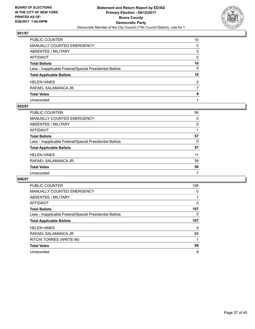

| PUBLIC COUNTER                                           | 10           |
|----------------------------------------------------------|--------------|
| MANUALLY COUNTED EMERGENCY                               | 0            |
| ABSENTEE / MILITARY                                      | 0            |
| AFFIDAVIT                                                | $\mathbf{0}$ |
| Total Ballots                                            | 10           |
| Less - Inapplicable Federal/Special Presidential Ballots | $\mathbf{0}$ |
| <b>Total Applicable Ballots</b>                          | 10           |
| HELEN HINES                                              | 2            |
| RAFAEL SALAMANCA JR.                                     | 7            |
| <b>Total Votes</b>                                       | 9            |
| Unrecorded                                               |              |

## **002/87**

| <b>PUBLIC COUNTER</b>                                    | 56 |
|----------------------------------------------------------|----|
| <b>MANUALLY COUNTED EMERGENCY</b>                        | 0  |
| ABSENTEE / MILITARY                                      | 0  |
| AFFIDAVIT                                                |    |
| <b>Total Ballots</b>                                     | 57 |
| Less - Inapplicable Federal/Special Presidential Ballots | 0  |
| <b>Total Applicable Ballots</b>                          | 57 |
| <b>HELEN HINES</b>                                       | 11 |
| RAFAEL SALAMANCA JR.                                     | 39 |
| <b>Total Votes</b>                                       | 50 |
| Unrecorded                                               |    |

| <b>PUBLIC COUNTER</b>                                    | 106 |
|----------------------------------------------------------|-----|
| <b>MANUALLY COUNTED EMERGENCY</b>                        | 0   |
| ABSENTEE / MILITARY                                      |     |
| AFFIDAVIT                                                | 0   |
| <b>Total Ballots</b>                                     | 107 |
| Less - Inapplicable Federal/Special Presidential Ballots | 0   |
|                                                          |     |
| <b>Total Applicable Ballots</b>                          | 107 |
| <b>HELEN HINES</b>                                       | 9   |
| RAFAEL SALAMANCA JR.                                     | 89  |
| RITCHI TORRES (WRITE-IN)                                 |     |
| <b>Total Votes</b>                                       | 99  |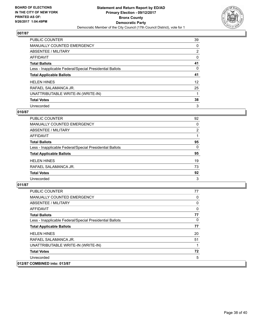

| PUBLIC COUNTER                                           | 39              |
|----------------------------------------------------------|-----------------|
| MANUALLY COUNTED EMERGENCY                               | 0               |
| ABSENTEE / MILITARY                                      | $\overline{2}$  |
| <b>AFFIDAVIT</b>                                         | 0               |
| <b>Total Ballots</b>                                     | 41              |
| Less - Inapplicable Federal/Special Presidential Ballots | 0               |
| <b>Total Applicable Ballots</b>                          | 41              |
| <b>HELEN HINES</b>                                       | 12 <sup>2</sup> |
| RAFAEL SALAMANCA JR.                                     | 25              |
| UNATTRIBUTABLE WRITE-IN (WRITE-IN)                       |                 |
| <b>Total Votes</b>                                       | 38              |
| Unrecorded                                               | 3               |

# **010/87**

| PUBLIC COUNTER                                           | 92       |
|----------------------------------------------------------|----------|
| MANUALLY COUNTED EMERGENCY                               | 0        |
| ABSENTEE / MILITARY                                      | 2        |
| AFFIDAVIT                                                |          |
| <b>Total Ballots</b>                                     | 95       |
| Less - Inapplicable Federal/Special Presidential Ballots | $\Omega$ |
| <b>Total Applicable Ballots</b>                          | 95       |
| <b>HELEN HINES</b>                                       | 19       |
| RAFAEL SALAMANCA JR.                                     | 73       |
| <b>Total Votes</b>                                       | 92       |
| Unrecorded                                               | 3        |

| PUBLIC COUNTER                                           | 77 |
|----------------------------------------------------------|----|
| <b>MANUALLY COUNTED EMERGENCY</b>                        | 0  |
| ABSENTEE / MILITARY                                      | 0  |
| AFFIDAVIT                                                | 0  |
| <b>Total Ballots</b>                                     | 77 |
| Less - Inapplicable Federal/Special Presidential Ballots | 0  |
| <b>Total Applicable Ballots</b>                          | 77 |
| <b>HELEN HINES</b>                                       | 20 |
| RAFAEL SALAMANCA JR.                                     | 51 |
| UNATTRIBUTABLE WRITE-IN (WRITE-IN)                       |    |
| <b>Total Votes</b>                                       | 72 |
| Unrecorded                                               | 5  |
| 012/87 COMBINED into: 013/87                             |    |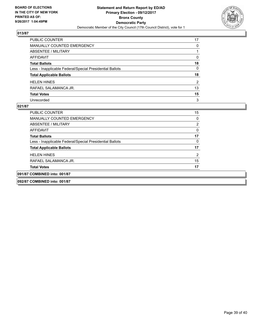

| PUBLIC COUNTER                                           | 17 |
|----------------------------------------------------------|----|
| MANUALLY COUNTED EMERGENCY                               | 0  |
| ABSENTEE / MILITARY                                      | 1  |
| AFFIDAVIT                                                | 0  |
| <b>Total Ballots</b>                                     | 18 |
| Less - Inapplicable Federal/Special Presidential Ballots | 0  |
| <b>Total Applicable Ballots</b>                          | 18 |
| <b>HELEN HINES</b>                                       | 2  |
| RAFAEL SALAMANCA JR.                                     | 13 |
| <b>Total Votes</b>                                       | 15 |
| Unrecorded                                               | 3  |

| <b>PUBLIC COUNTER</b>                                    | 15 |
|----------------------------------------------------------|----|
| <b>MANUALLY COUNTED EMERGENCY</b>                        | 0  |
| <b>ABSENTEE / MILITARY</b>                               | 2  |
| <b>AFFIDAVIT</b>                                         | 0  |
| <b>Total Ballots</b>                                     | 17 |
| Less - Inapplicable Federal/Special Presidential Ballots | 0  |
| <b>Total Applicable Ballots</b>                          | 17 |
| <b>HELEN HINES</b>                                       | 2  |
| RAFAEL SALAMANCA JR.                                     | 15 |
| <b>Total Votes</b>                                       | 17 |
| 091/87 COMBINED into: 001/87                             |    |
| 092/87 COMBINED into: 001/87                             |    |